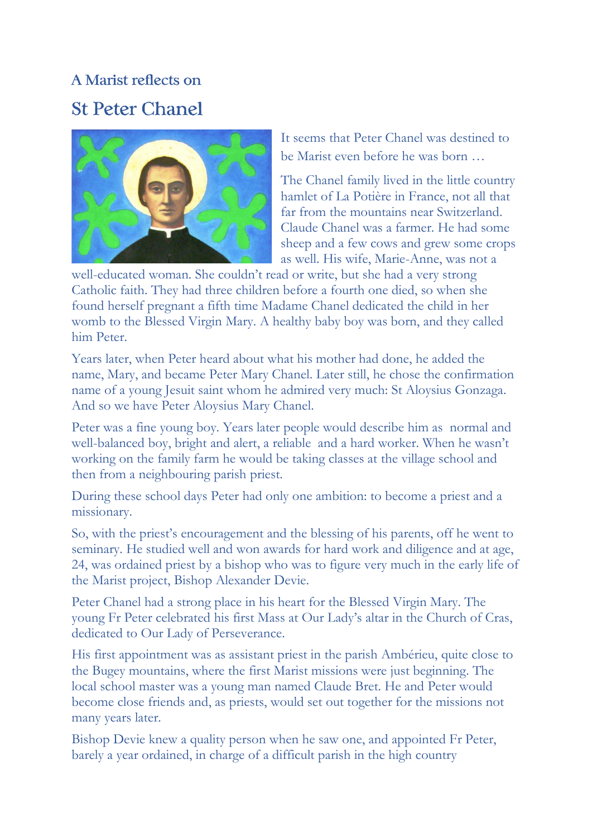## A Marist reflects on St Peter Chanel



It seems that Peter Chanel was destined to be Marist even before he was born …

The Chanel family lived in the little country hamlet of La Potière in France, not all that far from the mountains near Switzerland. Claude Chanel was a farmer. He had some sheep and a few cows and grew some crops as well. His wife, Marie-Anne, was not a

well-educated woman. She couldn't read or write, but she had a very strong Catholic faith. They had three children before a fourth one died, so when she found herself pregnant a fifth time Madame Chanel dedicated the child in her womb to the Blessed Virgin Mary. A healthy baby boy was born, and they called him Peter.

Years later, when Peter heard about what his mother had done, he added the name, Mary, and became Peter Mary Chanel. Later still, he chose the confirmation name of a young Jesuit saint whom he admired very much: St Aloysius Gonzaga. And so we have Peter Aloysius Mary Chanel.

Peter was a fine young boy. Years later people would describe him as normal and well-balanced boy, bright and alert, a reliable and a hard worker. When he wasn't working on the family farm he would be taking classes at the village school and then from a neighbouring parish priest.

During these school days Peter had only one ambition: to become a priest and a missionary.

So, with the priest's encouragement and the blessing of his parents, off he went to seminary. He studied well and won awards for hard work and diligence and at age, 24, was ordained priest by a bishop who was to figure very much in the early life of the Marist project, Bishop Alexander Devie.

Peter Chanel had a strong place in his heart for the Blessed Virgin Mary. The young Fr Peter celebrated his first Mass at Our Lady's altar in the Church of Cras, dedicated to Our Lady of Perseverance.

His first appointment was as assistant priest in the parish Ambérieu, quite close to the Bugey mountains, where the first Marist missions were just beginning. The local school master was a young man named Claude Bret. He and Peter would become close friends and, as priests, would set out together for the missions not many years later.

Bishop Devie knew a quality person when he saw one, and appointed Fr Peter, barely a year ordained, in charge of a difficult parish in the high country